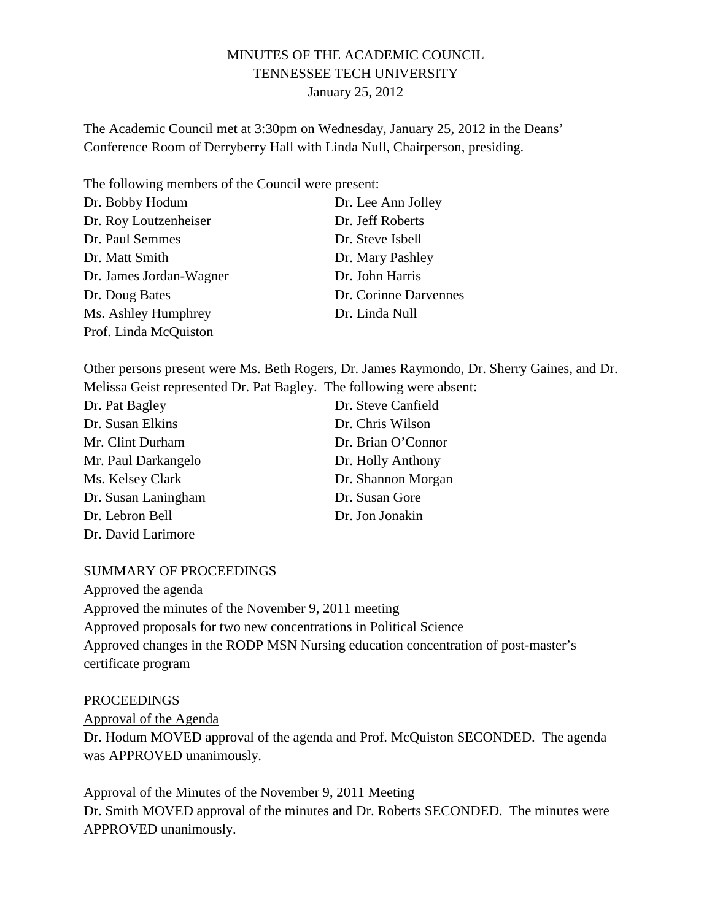# MINUTES OF THE ACADEMIC COUNCIL TENNESSEE TECH UNIVERSITY January 25, 2012

The Academic Council met at 3:30pm on Wednesday, January 25, 2012 in the Deans' Conference Room of Derryberry Hall with Linda Null, Chairperson, presiding.

| The following members of the Council were present: |                       |
|----------------------------------------------------|-----------------------|
| Dr. Bobby Hodum                                    | Dr. Lee Ann Jolley    |
| Dr. Roy Loutzenheiser                              | Dr. Jeff Roberts      |
| Dr. Paul Semmes                                    | Dr. Steve Isbell      |
| Dr. Matt Smith                                     | Dr. Mary Pashley      |
| Dr. James Jordan-Wagner                            | Dr. John Harris       |
| Dr. Doug Bates                                     | Dr. Corinne Darvennes |
| Ms. Ashley Humphrey                                | Dr. Linda Null        |
| Prof. Linda McQuiston                              |                       |

Other persons present were Ms. Beth Rogers, Dr. James Raymondo, Dr. Sherry Gaines, and Dr. Melissa Geist represented Dr. Pat Bagley. The following were absent:

| Dr. Pat Bagley      | Dr. Steve Canfield |
|---------------------|--------------------|
| Dr. Susan Elkins    | Dr. Chris Wilson   |
| Mr. Clint Durham    | Dr. Brian O'Connor |
| Mr. Paul Darkangelo | Dr. Holly Anthony  |
| Ms. Kelsey Clark    | Dr. Shannon Morgan |
| Dr. Susan Laningham | Dr. Susan Gore     |
| Dr. Lebron Bell     | Dr. Jon Jonakin    |
| Dr. David Larimore  |                    |

SUMMARY OF PROCEEDINGS

Approved the agenda Approved the minutes of the November 9, 2011 meeting Approved proposals for two new concentrations in Political Science Approved changes in the RODP MSN Nursing education concentration of post-master's certificate program

### PROCEEDINGS

Approval of the Agenda

Dr. Hodum MOVED approval of the agenda and Prof. McQuiston SECONDED. The agenda was APPROVED unanimously.

Approval of the Minutes of the November 9, 2011 Meeting Dr. Smith MOVED approval of the minutes and Dr. Roberts SECONDED. The minutes were APPROVED unanimously.